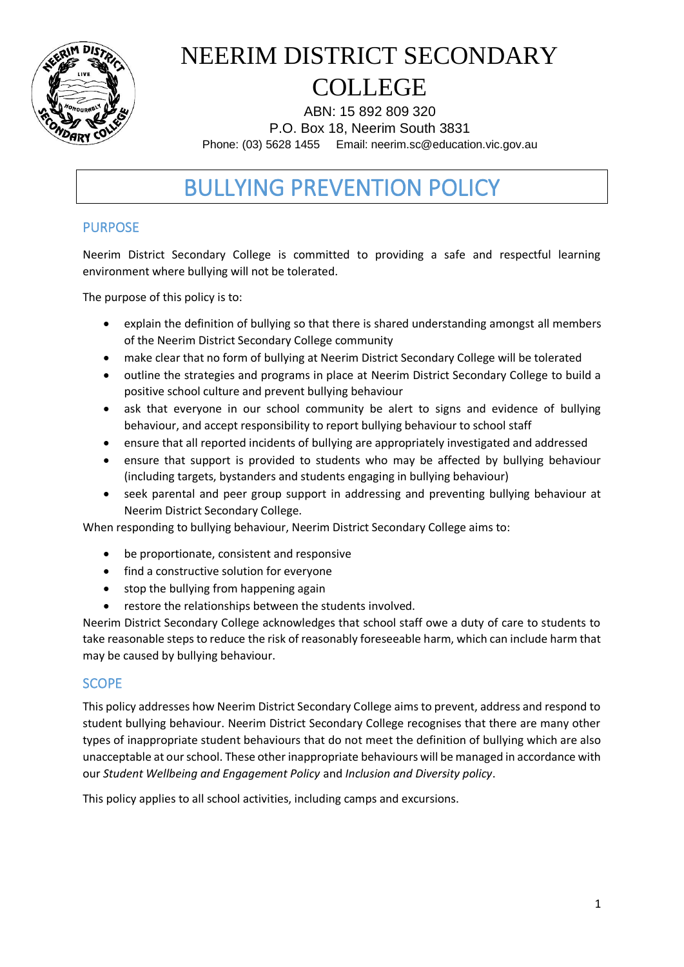

ABN: 15 892 809 320 P.O. Box 18, Neerim South 3831 Phone: (03) 5628 1455 Email: neerim.sc@education.vic.gov.au

## BULLYING PREVENTION POLICY

### PURPOSE

Neerim District Secondary College is committed to providing a safe and respectful learning environment where bullying will not be tolerated.

The purpose of this policy is to:

- explain the definition of bullying so that there is shared understanding amongst all members of the Neerim District Secondary College community
- make clear that no form of bullying at Neerim District Secondary College will be tolerated
- outline the strategies and programs in place at Neerim District Secondary College to build a positive school culture and prevent bullying behaviour
- ask that everyone in our school community be alert to signs and evidence of bullying behaviour, and accept responsibility to report bullying behaviour to school staff
- ensure that all reported incidents of bullying are appropriately investigated and addressed
- ensure that support is provided to students who may be affected by bullying behaviour (including targets, bystanders and students engaging in bullying behaviour)
- seek parental and peer group support in addressing and preventing bullying behaviour at Neerim District Secondary College.

When responding to bullying behaviour, Neerim District Secondary College aims to:

- be proportionate, consistent and responsive
- find a constructive solution for everyone
- stop the bullying from happening again
- restore the relationships between the students involved.

Neerim District Secondary College acknowledges that school staff owe a duty of care to students to take reasonable steps to reduce the risk of reasonably foreseeable harm, which can include harm that may be caused by bullying behaviour.

### **SCOPE**

This policy addresses how Neerim District Secondary College aims to prevent, address and respond to student bullying behaviour. Neerim District Secondary College recognises that there are many other types of inappropriate student behaviours that do not meet the definition of bullying which are also unacceptable at our school. These other inappropriate behaviours will be managed in accordance with our *Student Wellbeing and Engagement Policy* and *Inclusion and Diversity policy*.

This policy applies to all school activities, including camps and excursions.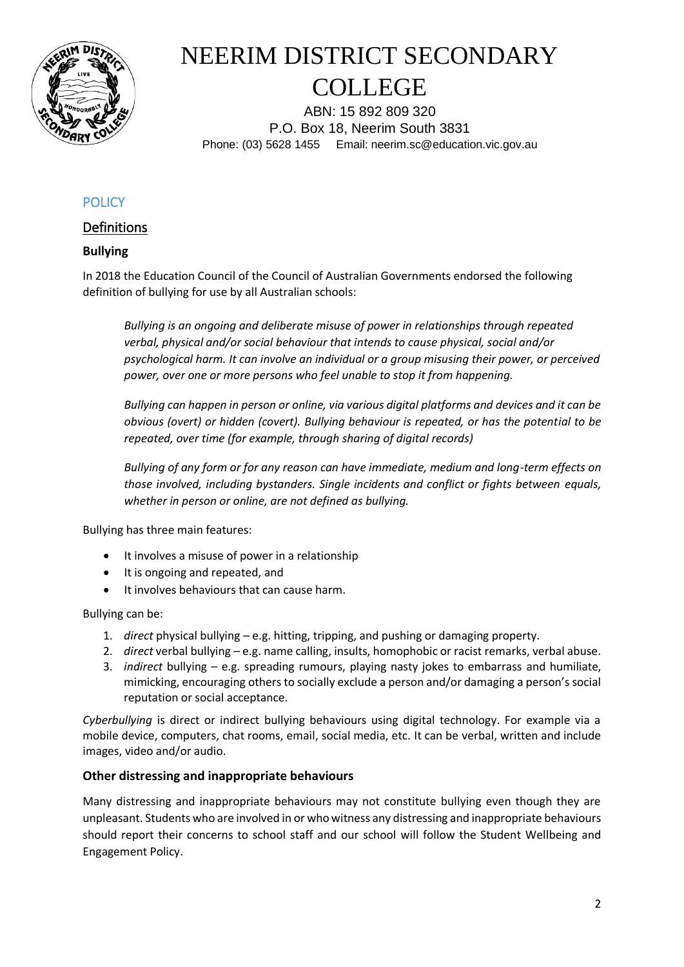

ABN: 15 892 809 320 P.O. Box 18, Neerim South 3831 Phone: (03) 5628 1455 Email: neerim.sc@education.vic.gov.au

### **POLICY**

### Definitions

#### **Bullying**

In 2018 the Education Council of the Council of Australian Governments endorsed the following definition of bullying for use by all Australian schools:

*Bullying is an ongoing and deliberate misuse of power in relationships through repeated verbal, physical and/or social behaviour that intends to cause physical, social and/or psychological harm. It can involve an individual or a group misusing their power, or perceived power, over one or more persons who feel unable to stop it from happening.*

*Bullying can happen in person or online, via various digital platforms and devices and it can be obvious (overt) or hidden (covert). Bullying behaviour is repeated, or has the potential to be repeated, over time (for example, through sharing of digital records)*

*Bullying of any form or for any reason can have immediate, medium and long-term effects on those involved, including bystanders. Single incidents and conflict or fights between equals, whether in person or online, are not defined as bullying.* 

Bullying has three main features:

- It involves a misuse of power in a relationship
- It is ongoing and repeated, and
- It involves behaviours that can cause harm.

#### Bullying can be:

- 1. *direct* physical bullying e.g. hitting, tripping, and pushing or damaging property.
- 2. *direct* verbal bullying e.g. name calling, insults, homophobic or racist remarks, verbal abuse.
- 3. *indirect* bullying e.g. spreading rumours, playing nasty jokes to embarrass and humiliate, mimicking, encouraging others to socially exclude a person and/or damaging a person's social reputation or social acceptance.

*Cyberbullying* is direct or indirect bullying behaviours using digital technology. For example via a mobile device, computers, chat rooms, email, social media, etc. It can be verbal, written and include images, video and/or audio.

#### **Other distressing and inappropriate behaviours**

Many distressing and inappropriate behaviours may not constitute bullying even though they are unpleasant. Students who are involved in or who witness any distressing and inappropriate behaviours should report their concerns to school staff and our school will follow the Student Wellbeing and Engagement Policy.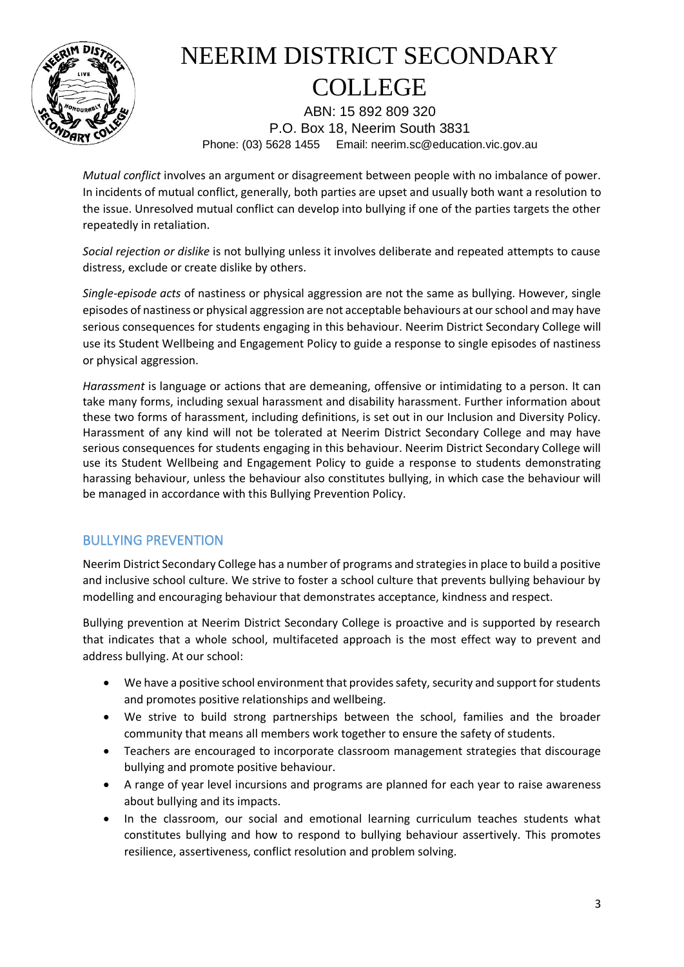

ABN: 15 892 809 320 P.O. Box 18, Neerim South 3831 Phone: (03) 5628 1455 Email: neerim.sc@education.vic.gov.au

*Mutual conflict* involves an argument or disagreement between people with no imbalance of power. In incidents of mutual conflict, generally, both parties are upset and usually both want a resolution to the issue. Unresolved mutual conflict can develop into bullying if one of the parties targets the other repeatedly in retaliation.

*Social rejection or dislike* is not bullying unless it involves deliberate and repeated attempts to cause distress, exclude or create dislike by others.

*Single-episode acts* of nastiness or physical aggression are not the same as bullying. However, single episodes of nastiness or physical aggression are not acceptable behaviours at our school and may have serious consequences for students engaging in this behaviour. Neerim District Secondary College will use its Student Wellbeing and Engagement Policy to guide a response to single episodes of nastiness or physical aggression.

*Harassment* is language or actions that are demeaning, offensive or intimidating to a person. It can take many forms, including sexual harassment and disability harassment. Further information about these two forms of harassment, including definitions, is set out in our Inclusion and Diversity Policy. Harassment of any kind will not be tolerated at Neerim District Secondary College and may have serious consequences for students engaging in this behaviour. Neerim District Secondary College will use its Student Wellbeing and Engagement Policy to guide a response to students demonstrating harassing behaviour, unless the behaviour also constitutes bullying, in which case the behaviour will be managed in accordance with this Bullying Prevention Policy.

### BULLYING PREVENTION

Neerim District Secondary College has a number of programs and strategies in place to build a positive and inclusive school culture. We strive to foster a school culture that prevents bullying behaviour by modelling and encouraging behaviour that demonstrates acceptance, kindness and respect.

Bullying prevention at Neerim District Secondary College is proactive and is supported by research that indicates that a whole school, multifaceted approach is the most effect way to prevent and address bullying. At our school:

- We have a positive school environment that provides safety, security and support for students and promotes positive relationships and wellbeing.
- We strive to build strong partnerships between the school, families and the broader community that means all members work together to ensure the safety of students.
- Teachers are encouraged to incorporate classroom management strategies that discourage bullying and promote positive behaviour.
- A range of year level incursions and programs are planned for each year to raise awareness about bullying and its impacts.
- In the classroom, our social and emotional learning curriculum teaches students what constitutes bullying and how to respond to bullying behaviour assertively. This promotes resilience, assertiveness, conflict resolution and problem solving.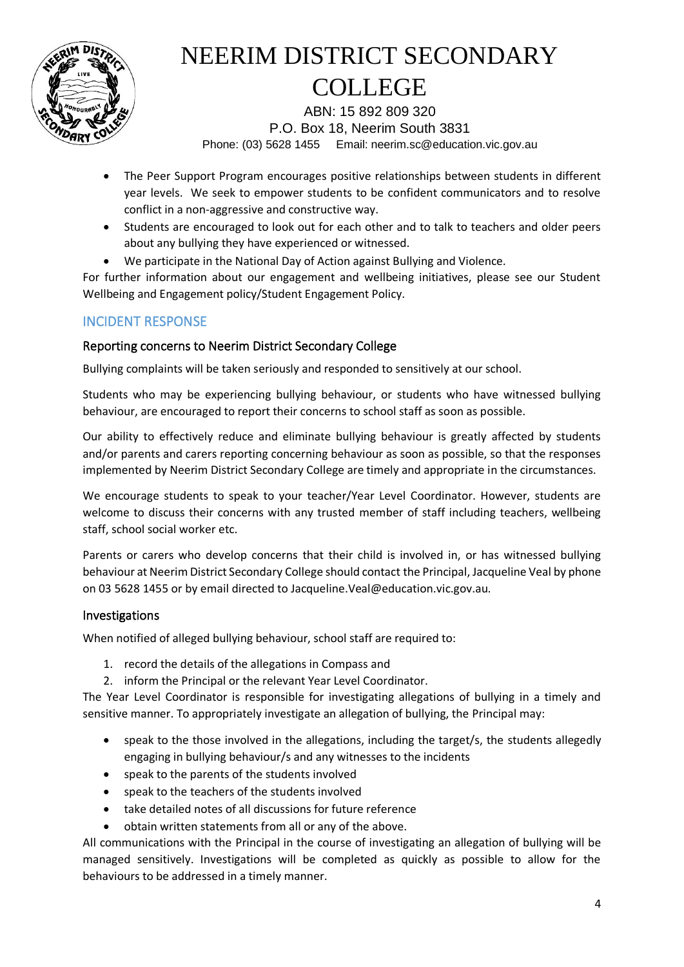

ABN: 15 892 809 320 P.O. Box 18, Neerim South 3831 Phone: (03) 5628 1455 Email: neerim.sc@education.vic.gov.au

- The Peer Support Program encourages positive relationships between students in different year levels. We seek to empower students to be confident communicators and to resolve conflict in a non-aggressive and constructive way.
- Students are encouraged to look out for each other and to talk to teachers and older peers about any bullying they have experienced or witnessed.
- We participate in the National Day of Action against Bullying and Violence.

For further information about our engagement and wellbeing initiatives, please see our Student Wellbeing and Engagement policy/Student Engagement Policy.

### INCIDENT RESPONSE

#### Reporting concerns to Neerim District Secondary College

Bullying complaints will be taken seriously and responded to sensitively at our school.

Students who may be experiencing bullying behaviour, or students who have witnessed bullying behaviour, are encouraged to report their concerns to school staff as soon as possible.

Our ability to effectively reduce and eliminate bullying behaviour is greatly affected by students and/or parents and carers reporting concerning behaviour as soon as possible, so that the responses implemented by Neerim District Secondary College are timely and appropriate in the circumstances.

We encourage students to speak to your teacher/Year Level Coordinator. However, students are welcome to discuss their concerns with any trusted member of staff including teachers, wellbeing staff, school social worker etc.

Parents or carers who develop concerns that their child is involved in, or has witnessed bullying behaviour at Neerim District Secondary College should contact the Principal, Jacqueline Veal by phone on 03 5628 1455 or by email directed to Jacqueline.Veal@education.vic.gov.au.

#### Investigations

When notified of alleged bullying behaviour, school staff are required to:

- 1. record the details of the allegations in Compass and
- 2. inform the Principal or the relevant Year Level Coordinator.

The Year Level Coordinator is responsible for investigating allegations of bullying in a timely and sensitive manner. To appropriately investigate an allegation of bullying, the Principal may:

- speak to the those involved in the allegations, including the target/s, the students allegedly engaging in bullying behaviour/s and any witnesses to the incidents
- speak to the parents of the students involved
- speak to the teachers of the students involved
- take detailed notes of all discussions for future reference
- obtain written statements from all or any of the above.

All communications with the Principal in the course of investigating an allegation of bullying will be managed sensitively. Investigations will be completed as quickly as possible to allow for the behaviours to be addressed in a timely manner.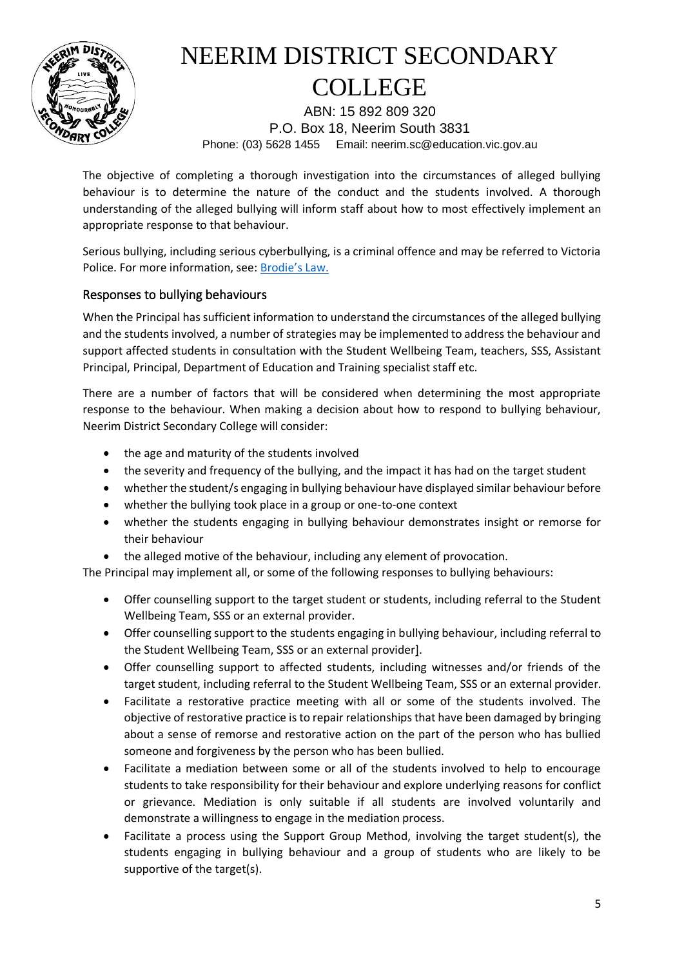

ABN: 15 892 809 320 P.O. Box 18, Neerim South 3831 Phone: (03) 5628 1455 Email: neerim.sc@education.vic.gov.au

The objective of completing a thorough investigation into the circumstances of alleged bullying behaviour is to determine the nature of the conduct and the students involved. A thorough understanding of the alleged bullying will inform staff about how to most effectively implement an appropriate response to that behaviour.

Serious bullying, including serious cyberbullying, is a criminal offence and may be referred to Victoria Police. For more information, see: [Brodie's Law.](http://www.education.vic.gov.au/about/programs/bullystoppers/Pages/advicesheetbrodieslaw.aspx)

### Responses to bullying behaviours

When the Principal has sufficient information to understand the circumstances of the alleged bullying and the students involved, a number of strategies may be implemented to address the behaviour and support affected students in consultation with the Student Wellbeing Team, teachers, SSS, Assistant Principal, Principal, Department of Education and Training specialist staff etc.

There are a number of factors that will be considered when determining the most appropriate response to the behaviour. When making a decision about how to respond to bullying behaviour, Neerim District Secondary College will consider:

- the age and maturity of the students involved
- the severity and frequency of the bullying, and the impact it has had on the target student
- whether the student/s engaging in bullying behaviour have displayed similar behaviour before
- whether the bullying took place in a group or one-to-one context
- whether the students engaging in bullying behaviour demonstrates insight or remorse for their behaviour
- the alleged motive of the behaviour, including any element of provocation.

The Principal may implement all, or some of the following responses to bullying behaviours:

- Offer counselling support to the target student or students, including referral to the Student Wellbeing Team, SSS or an external provider.
- Offer counselling support to the students engaging in bullying behaviour, including referral to the Student Wellbeing Team, SSS or an external provider].
- Offer counselling support to affected students, including witnesses and/or friends of the target student, including referral to the Student Wellbeing Team, SSS or an external provider.
- Facilitate a restorative practice meeting with all or some of the students involved. The objective of restorative practice is to repair relationships that have been damaged by bringing about a sense of remorse and restorative action on the part of the person who has bullied someone and forgiveness by the person who has been bullied.
- Facilitate a mediation between some or all of the students involved to help to encourage students to take responsibility for their behaviour and explore underlying reasons for conflict or grievance. Mediation is only suitable if all students are involved voluntarily and demonstrate a willingness to engage in the mediation process.
- Facilitate a process using the Support Group Method, involving the target student(s), the students engaging in bullying behaviour and a group of students who are likely to be supportive of the target(s).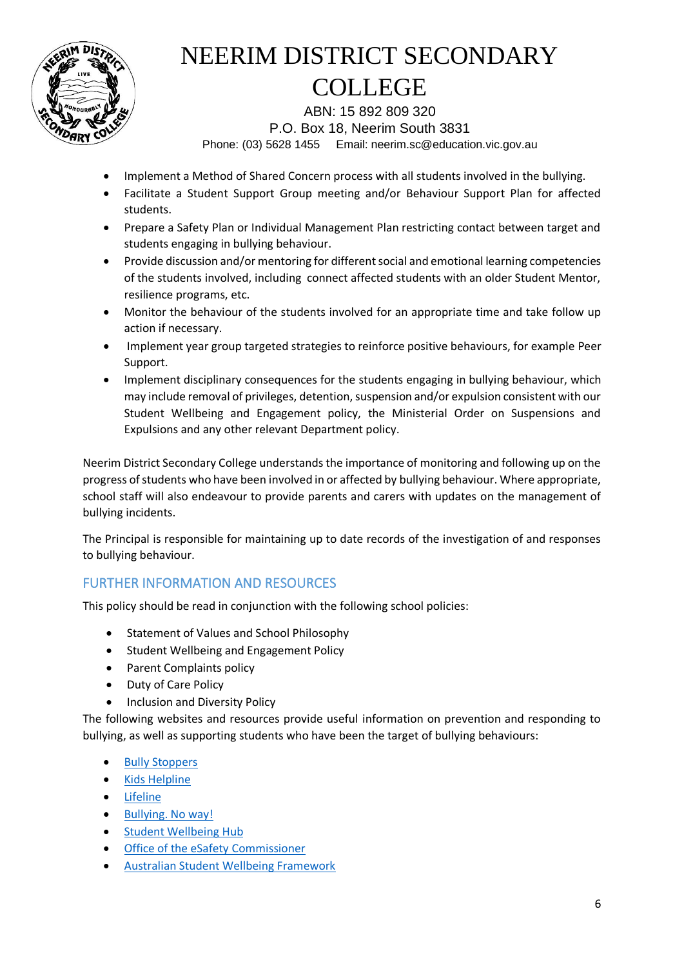

ABN: 15 892 809 320 P.O. Box 18, Neerim South 3831 Phone: (03) 5628 1455 Email: neerim.sc@education.vic.gov.au

- Implement a Method of Shared Concern process with all students involved in the bullying.
- Facilitate a Student Support Group meeting and/or Behaviour Support Plan for affected students.
- Prepare a Safety Plan or Individual Management Plan restricting contact between target and students engaging in bullying behaviour.
- Provide discussion and/or mentoring for different social and emotional learning competencies of the students involved, including connect affected students with an older Student Mentor, resilience programs, etc.
- Monitor the behaviour of the students involved for an appropriate time and take follow up action if necessary.
- Implement year group targeted strategies to reinforce positive behaviours, for example Peer Support.
- Implement disciplinary consequences for the students engaging in bullying behaviour, which may include removal of privileges, detention, suspension and/or expulsion consistent with our Student Wellbeing and Engagement policy, the Ministerial Order on Suspensions and Expulsions and any other relevant Department policy.

Neerim District Secondary College understands the importance of monitoring and following up on the progress of students who have been involved in or affected by bullying behaviour. Where appropriate, school staff will also endeavour to provide parents and carers with updates on the management of bullying incidents.

The Principal is responsible for maintaining up to date records of the investigation of and responses to bullying behaviour.

### FURTHER INFORMATION AND RESOURCES

This policy should be read in conjunction with the following school policies:

- Statement of Values and School Philosophy
- Student Wellbeing and Engagement Policy
- Parent Complaints policy
- Duty of Care Policy
- Inclusion and Diversity Policy

The following websites and resources provide useful information on prevention and responding to bullying, as well as supporting students who have been the target of bullying behaviours:

- [Bully Stoppers](https://bullyingnoway.gov.au/PreventingBullying/Planning/Pages/School-policy.aspx)
- [Kids Helpline](https://kidshelpline.com.au/)
- [Lifeline](https://www.lifeline.org.au/)
- [Bullying. No way!](https://bullyingnoway.gov.au/PreventingBullying/Planning/Pages/School-policy.aspx)
- [Student Wellbeing Hub](https://www.studentwellbeinghub.edu.au/)
- [Office of the eSafety Commissioner](https://www.esafety.gov.au/)
- [Australian Student Wellbeing Framework](https://www.studentwellbeinghub.edu.au/resources/detail?id=dd6b5222-d5c5-6d32-997d-ff0000a69c30#/)